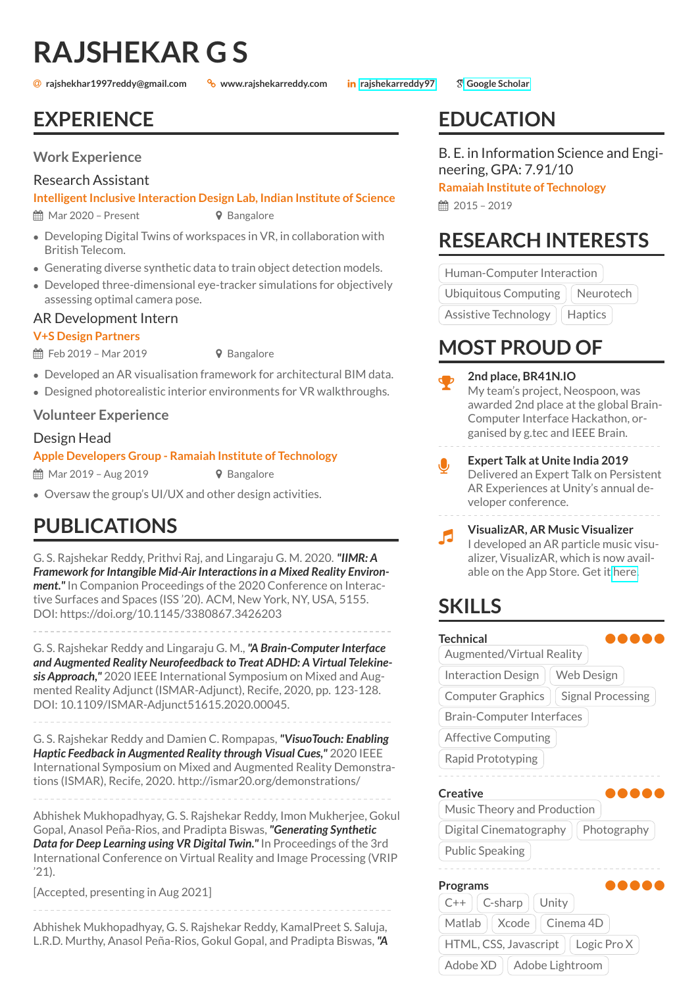# **RAJSHEKAR G S**

**rajshekhar1997reddy@gmail.com www.rajshekarreddy.com [rajshekarreddy97](https://www.linkedin.com/in/rajshekarreddy97) [Google Scholar](https://scholar.google.com/citations?user=bd9zt-sAAAAJ&hl=en)**

### **EXPERIENCE**

### **Work Experience**

### Research Assistant

#### **Intelligent Inclusive Interaction Design Lab, Indian Institute of Science**

 $\hat{H}$  Mar 2020 – Present  $\theta$  Bangalore

- Developing Digital Twins of workspaces in VR, in collaboration with British Telecom.
- Generating diverse synthetic data to train object detection models.
- Developed three-dimensional eye-tracker simulations for objectively assessing optimal camera pose.

### AR Development Intern

### **V+S Design Partners**

 $\hat{m}$  Feb 2019 – Mar 2019 **9** Bangalore

- Developed an AR visualisation framework for architectural BIM data.
- Designed photorealistic interior environments for VR walkthroughs.

### **Volunteer Experience**

### Design Head

#### **Apple Developers Group - Ramaiah Institute of Technology**

 $\hat{m}$  Mar 2019 – Aug 2019 **V** Bangalore

• Oversaw the group's UI/UX and other design activities.

### **PUBLICATIONS**

G. S. Rajshekar Reddy, Prithvi Raj, and Lingaraju G. M. 2020. *"IIMR: A Framework for Intangible Mid-Air Interactions in a Mixed Reality Environment."*In Companion Proceedings of the 2020 Conference on Interactive Surfaces and Spaces (ISS '20). ACM, New York, NY, USA, 5155. DOI: https://doi.org/10.1145/3380867.3426203

G. S. Rajshekar Reddy and Lingaraju G. M.,*"A Brain-Computer Interface and Augmented Reality Neurofeedback to Treat ADHD: A Virtual Telekinesis Approach,"* 2020 IEEE International Symposium on Mixed and Augmented Reality Adjunct (ISMAR-Adjunct), Recife, 2020, pp. 123-128. DOI: 10.1109/ISMAR-Adjunct51615.2020.00045.

G. S. Rajshekar Reddy and Damien C. Rompapas,*"VisuoTouch: Enabling Haptic Feedback in Augmented Reality through Visual Cues,"* 2020 IEEE International Symposium on Mixed and Augmented Reality Demonstrations (ISMAR), Recife, 2020. http://ismar20.org/demonstrations/

Abhishek Mukhopadhyay, G. S. Rajshekar Reddy, Imon Mukherjee, Gokul Gopal, Anasol Peña-Rios, and Pradipta Biswas,*"Generating Synthetic Data for Deep Learning using VR Digital Twin."* In Proceedings of the 3rd International Conference on Virtual Reality and Image Processing (VRIP '21).

[Accepted, presenting in Aug 2021]

Abhishek Mukhopadhyay, G. S. Rajshekar Reddy, KamalPreet S. Saluja, L.R.D. Murthy, Anasol Peña-Rios, Gokul Gopal, and Pradipta Biswas,*"A*

## **EDUCATION**

B. E. in Information Science and Engineering, GPA: 7.91/10

**Ramaiah Institute of Technology**

■ 2015 - 2019

Y

### **RESEARCH INTERESTS**

Human-Computer Interaction

Ubiquitous Computing  $\parallel$  Neurotech

Assistive Technology | Haptics

### **MOST PROUD OF**

- **2nd place, BR41N.IO** My team's project, Neospoon, was awarded 2nd place at the global Brain-Computer Interface Hackathon, organised by g.tec and IEEE Brain. J **Expert Talk at Unite India 2019** Delivered an Expert Talk on Persistent AR Experiences at Unity's annual developer conference.
- $\overline{a}$ **VisualizAR, AR Music Visualizer** I developed an AR particle music visualizer, VisualizAR, which is now available on the App Store. Get it [here.](https://apps.apple.com/in/app/visualizar/id1517605286)

### **SKILLS**

| Technical                                            |
|------------------------------------------------------|
| Augmented/Virtual Reality                            |
| Web Design<br><b>Interaction Design</b>              |
| <b>Computer Graphics</b><br><b>Signal Processing</b> |
| Brain-Computer Interfaces                            |
| <b>Affective Computing</b>                           |
| Rapid Prototyping                                    |
| <b>Creative</b>                                      |
| Music Theory and Production                          |
| Digital Cinematography<br>Photography                |
| <b>Public Speaking</b>                               |
|                                                      |
| Programs                                             |
| C-sharp<br>Unity<br>$C++$                            |
| Matlab<br>Cinema 4D<br>Xcode                         |
| Logic Pro X<br>HTML, CSS, Javascript                 |

Adobe  $XD$  | Adobe Lightroom